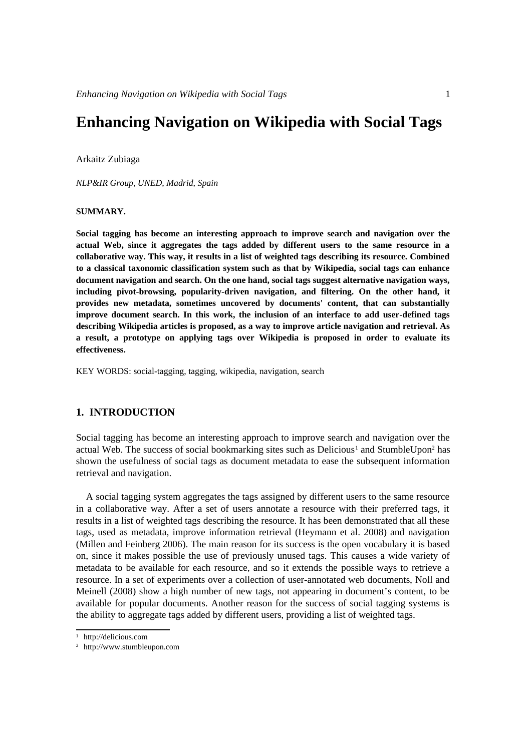# **Enhancing Navigation on Wikipedia with Social Tags**

Arkaitz Zubiaga

*NLP&IR Group, UNED, Madrid, Spain*

#### **SUMMARY.**

**Social tagging has become an interesting approach to improve search and navigation over the actual Web, since it aggregates the tags added by different users to the same resource in a collaborative way. This way, it results in a list of weighted tags describing its resource. Combined to a classical taxonomic classification system such as that by Wikipedia, social tags can enhance document navigation and search. On the one hand, social tags suggest alternative navigation ways, including pivot-browsing, popularity-driven navigation, and filtering. On the other hand, it provides new metadata, sometimes uncovered by documents' content, that can substantially improve document search. In this work, the inclusion of an interface to add user-defined tags describing Wikipedia articles is proposed, as a way to improve article navigation and retrieval. As a result, a prototype on applying tags over Wikipedia is proposed in order to evaluate its effectiveness.**

KEY WORDS: social-tagging, tagging, wikipedia, navigation, search

#### **1. INTRODUCTION**

Social tagging has become an interesting approach to improve search and navigation over the actual Web. The success of social bookmarking sites such as Delicious<sup>[1](#page-0-0)</sup> and StumbleUpon<sup>[2](#page-0-1)</sup> has shown the usefulness of social tags as document metadata to ease the subsequent information retrieval and navigation.

A social tagging system aggregates the tags assigned by different users to the same resource in a collaborative way. After a set of users annotate a resource with their preferred tags, it results in a list of weighted tags describing the resource. It has been demonstrated that all these tags, used as metadata, improve information retrieval (Heymann et al. 2008) and navigation (Millen and Feinberg 2006). The main reason for its success is the open vocabulary it is based on, since it makes possible the use of previously unused tags. This causes a wide variety of metadata to be available for each resource, and so it extends the possible ways to retrieve a resource. In a set of experiments over a collection of user-annotated web documents, Noll and Meinell (2008) show a high number of new tags, not appearing in document's content, to be available for popular documents. Another reason for the success of social tagging systems is the ability to aggregate tags added by different users, providing a list of weighted tags.

<span id="page-0-0"></span><sup>1</sup> http://delicious.com

<span id="page-0-1"></span><sup>2</sup> http://www.stumbleupon.com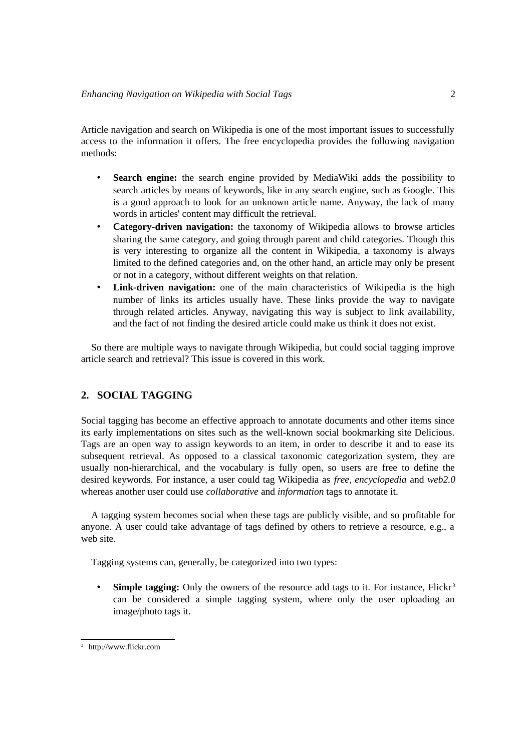Article navigation and search on Wikipedia is one of the most important issues to successfully access to the information it offers. The free encyclopedia provides the following navigation methods:

- **Search engine:** the search engine provided by MediaWiki adds the possibility to search articles by means of keywords, like in any search engine, such as Google. This is a good approach to look for an unknown article name. Anyway, the lack of many words in articles' content may difficult the retrieval.
- **Category-driven navigation:** the taxonomy of Wikipedia allows to browse articles sharing the same category, and going through parent and child categories. Though this is very interesting to organize all the content in Wikipedia, a taxonomy is always limited to the defined categories and, on the other hand, an article may only be present or not in a category, without different weights on that relation.
- **Link-driven navigation:** one of the main characteristics of Wikipedia is the high number of links its articles usually have. These links provide the way to navigate through related articles. Anyway, navigating this way is subject to link availability, and the fact of not finding the desired article could make us think it does not exist.

So there are multiple ways to navigate through Wikipedia, but could social tagging improve article search and retrieval? This issue is covered in this work.

# **2. SOCIAL TAGGING**

Social tagging has become an effective approach to annotate documents and other items since its early implementations on sites such as the well-known social bookmarking site Delicious. Tags are an open way to assign keywords to an item, in order to describe it and to ease its subsequent retrieval. As opposed to a classical taxonomic categorization system, they are usually non-hierarchical, and the vocabulary is fully open, so users are free to define the desired keywords. For instance, a user could tag Wikipedia as *free*, *encyclopedia* and *web2.0* whereas another user could use *collaborative* and *information* tags to annotate it.

A tagging system becomes social when these tags are publicly visible, and so profitable for anyone. A user could take advantage of tags defined by others to retrieve a resource, e.g., a web site.

Tagging systems can, generally, be categorized into two types:

• **Simple tagging:** Only the owners of the resource add tags to it. For instance, Flickr<sup>[3](#page-1-0)</sup> can be considered a simple tagging system, where only the user uploading an image/photo tags it.

<span id="page-1-0"></span><sup>3</sup> http://www.flickr.com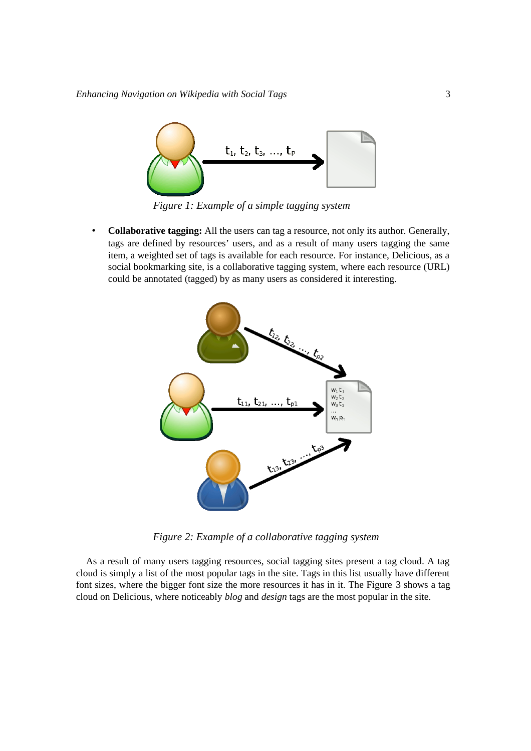

*Figure 1: Example of a simple tagging system*

• **Collaborative tagging:** All the users can tag a resource, not only its author. Generally, tags are defined by resources' users, and as a result of many users tagging the same item, a weighted set of tags is available for each resource. For instance, Delicious, as a social bookmarking site, is a collaborative tagging system, where each resource (URL) could be annotated (tagged) by as many users as considered it interesting.



*Figure 2: Example of a collaborative tagging system*

As a result of many users tagging resources, social tagging sites present a tag cloud. A tag cloud is simply a list of the most popular tags in the site. Tags in this list usually have different font sizes, where the bigger font size the more resources it has in it. The Figure [3](#page-3-0) shows a tag cloud on Delicious, where noticeably *blog* and *design* tags are the most popular in the site.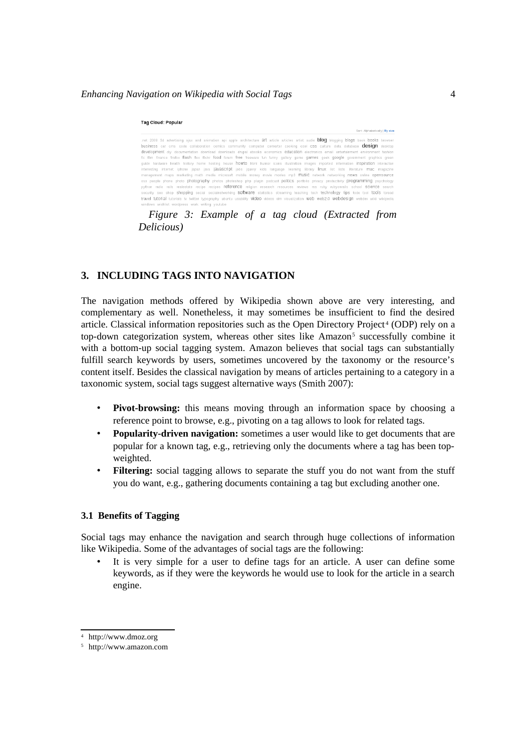#### *Enhancing Navigation on Wikipedia with Social Tags* 4

| Sort: Alphabetically   By size                                                                                                                    |  |
|---------------------------------------------------------------------------------------------------------------------------------------------------|--|
| net 2008 3d advertising aiax and animation api apple architecture art article articles artist audio <b>blog</b> blogging blogs book books browser |  |
| business car cms code collaboration comics community computer converter cooking cool CSS culture data database desitop desktop                    |  |
| development div documentation download downloads drupal ebooks economics education electronics email entertainment environment fashion            |  |
| fic film finance firefox flash flex flickr food forum free freeware fun funny gallery game games geek google government graphics green            |  |
| quide hardware health history home hosting house howto html humor icons illustration images imported information inspiration interactive          |  |
| interesting internet iphone japan java <b>jaVaSCript</b> jobs jquery kids language learning library linux list lists literature mac magazine      |  |
| management maps marketing math media microsoft mobile money movie movies mp3 MUSIC network networking news online opensource                      |  |
| osx people phone photo photography photos photoshop php plugin podcast politics portfolio privacy productivity programming psychology             |  |
| python radio rails realestate recipe recipes <b>reference</b> religion research resources reviews rss ruby rubyonrails school Science search      |  |
| security seo shop shopping social socialnetworking SOftware statistics streaming teaching tech technology tips todo tool tools toread             |  |
| travel tutorial tutorials tv twitter typography ubuntu usability video videos vim visualization web web2.0 webdesign webdev wiki wikipedia        |  |
| windows wishlist wordpress work writing voutube                                                                                                   |  |

<span id="page-3-0"></span>*Figure 3: Example of a tag cloud (Extracted from Delicious)*

# **3. INCLUDING TAGS INTO NAVIGATION**

The navigation methods offered by Wikipedia shown above are very interesting, and complementary as well. Nonetheless, it may sometimes be insufficient to find the desired article. Classical information repositories such as the Open Directory Project<sup>[4](#page-3-1)</sup> (ODP) rely on a top-down categorization system, whereas other sites like Amazon<sup>[5](#page-3-2)</sup> successfully combine it with a bottom-up social tagging system. Amazon believes that social tags can substantially fulfill search keywords by users, sometimes uncovered by the taxonomy or the resource's content itself. Besides the classical navigation by means of articles pertaining to a category in a taxonomic system, social tags suggest alternative ways (Smith 2007):

- **Pivot-browsing:** this means moving through an information space by choosing a reference point to browse, e.g., pivoting on a tag allows to look for related tags.
- **Popularity-driven navigation:** sometimes a user would like to get documents that are popular for a known tag, e.g., retrieving only the documents where a tag has been topweighted.
- **Filtering:** social tagging allows to separate the stuff you do not want from the stuff you do want, e.g., gathering documents containing a tag but excluding another one.

#### **3.1 Benefits of Tagging**

Social tags may enhance the navigation and search through huge collections of information like Wikipedia. Some of the advantages of social tags are the following:

It is very simple for a user to define tags for an article. A user can define some keywords, as if they were the keywords he would use to look for the article in a search engine.

<span id="page-3-1"></span><sup>4</sup> http://www.dmoz.org

<span id="page-3-2"></span><sup>5</sup> http://www.amazon.com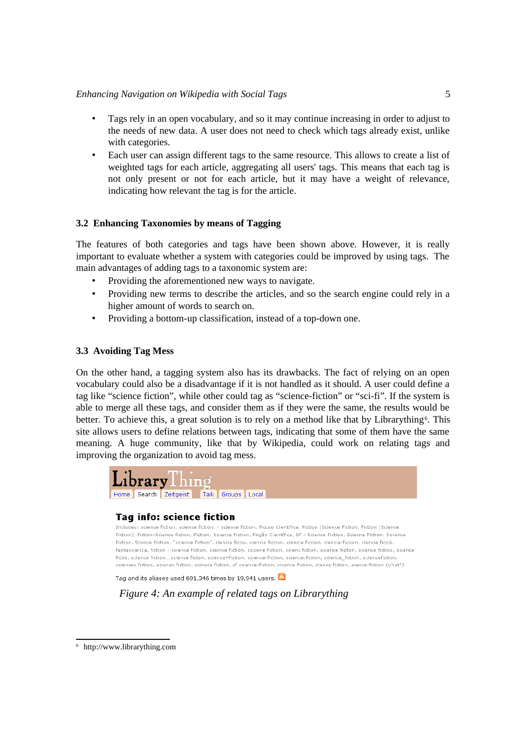## *Enhancing Navigation on Wikipedia with Social Tags* 5

- Tags rely in an open vocabulary, and so it may continue increasing in order to adjust to the needs of new data. A user does not need to check which tags already exist, unlike with categories.
- Each user can assign different tags to the same resource. This allows to create a list of weighted tags for each article, aggregating all users' tags. This means that each tag is not only present or not for each article, but it may have a weight of relevance, indicating how relevant the tag is for the article.

# **3.2 Enhancing Taxonomies by means of Tagging**

The features of both categories and tags have been shown above. However, it is really important to evaluate whether a system with categories could be improved by using tags. The main advantages of adding tags to a taxonomic system are:

- Providing the aforementioned new ways to navigate.
- Providing new terms to describe the articles, and so the search engine could rely in a higher amount of words to search on.
- Providing a bottom-up classification, instead of a top-down one.

# **3.3 Avoiding Tag Mess**

On the other hand, a tagging system also has its drawbacks. The fact of relying on an open vocabulary could also be a disadvantage if it is not handled as it should. A user could define a tag like "science fiction", while other could tag as "science-fiction" or "sci-fi". If the system is able to merge all these tags, and consider them as if they were the same, the results would be better. To achieve this, a great solution is to rely on a method like that by Librarything<sup>[6](#page-4-0)</sup>. This site allows users to define relations between tags, indicating that some of them have the same meaning. A huge community, like that by Wikipedia, could work on relating tags and improving the organization to avoid tag mess.



# **Tag info: science fiction**

Includes: science fiction, science fiction, - science fiction, Ficcao Científica, Fiction (Science Fiction, Fiction (Science Fiction). Fiction-Science fiction. Fiction: Science Fiction. Ficcão Científica. SF - Science Fiction. Sciecne Fiction. Sciience Fiction, Scirnce Fiction, "science fiction", ciencia ficcio, ciencia ficcion, ciencia ficción, ciencia-ficcion, ciència ficció, fantascienza, fiction - science fiction, sceince fiction, scicene fiction, scienc fiction, science fiction, science fictino, science fictio, science fiction., science ficton, science+fiction, science-fiction, science.fiction, science fiction, sciencefiction, sciences fiction, scienes fiction, scinese fiction, sf science-fiction, sisence fiction, sience fiction, sience-fiction (what?)

Tag and its aliases used 691,346 times by 19,941 users.  $\hbox{S}$ 

*Figure 4: An example of related tags on Librarything*

<span id="page-4-0"></span><sup>6</sup> http://www.librarything.com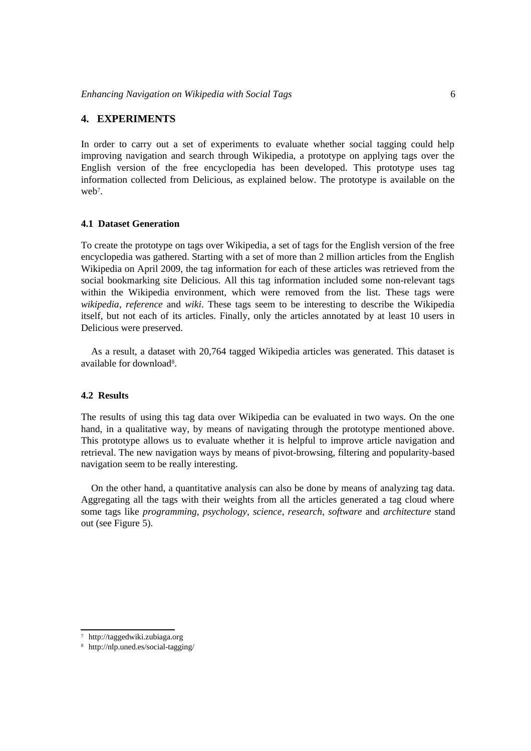#### **4. EXPERIMENTS**

In order to carry out a set of experiments to evaluate whether social tagging could help improving navigation and search through Wikipedia, a prototype on applying tags over the English version of the free encyclopedia has been developed. This prototype uses tag information collected from Delicious, as explained below. The prototype is available on the web<sup>[7](#page-5-0)</sup>.

## **4.1 Dataset Generation**

To create the prototype on tags over Wikipedia, a set of tags for the English version of the free encyclopedia was gathered. Starting with a set of more than 2 million articles from the English Wikipedia on April 2009, the tag information for each of these articles was retrieved from the social bookmarking site Delicious. All this tag information included some non-relevant tags within the Wikipedia environment, which were removed from the list. These tags were *wikipedia*, *reference* and *wiki*. These tags seem to be interesting to describe the Wikipedia itself, but not each of its articles. Finally, only the articles annotated by at least 10 users in Delicious were preserved.

As a result, a dataset with 20,764 tagged Wikipedia articles was generated. This dataset is available for download<sup>[8](#page-5-1)</sup>.

#### **4.2 Results**

The results of using this tag data over Wikipedia can be evaluated in two ways. On the one hand, in a qualitative way, by means of navigating through the prototype mentioned above. This prototype allows us to evaluate whether it is helpful to improve article navigation and retrieval. The new navigation ways by means of pivot-browsing, filtering and popularity-based navigation seem to be really interesting.

On the other hand, a quantitative analysis can also be done by means of analyzing tag data. Aggregating all the tags with their weights from all the articles generated a tag cloud where some tags like *programming*, *psychology*, *science*, *research*, *software* and *architecture* stand out (see Figure [5\)](#page-6-0).

<span id="page-5-0"></span><sup>7</sup> http://taggedwiki.zubiaga.org

<span id="page-5-1"></span><sup>8</sup> http://nlp.uned.es/social-tagging/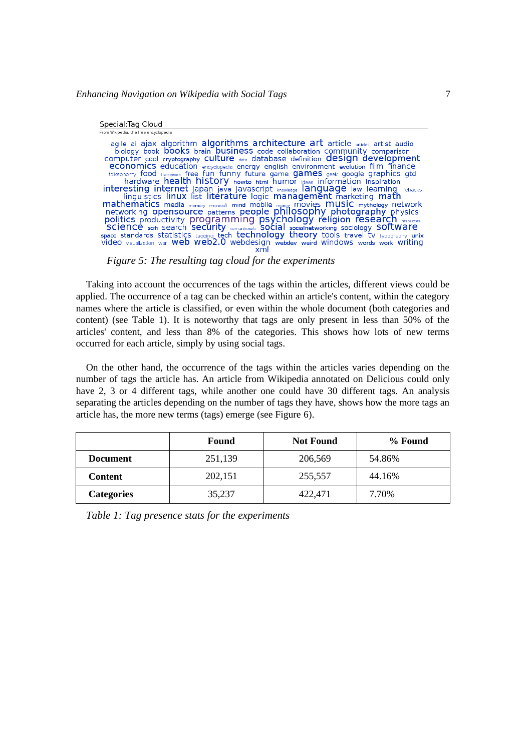| Special:Tag Cloud                                                                                                                                                                                                                                                                                                                                                                                                                                                                                                                                                                                                                                                                                                                                                                                                                                                                                                                                                                                      |
|--------------------------------------------------------------------------------------------------------------------------------------------------------------------------------------------------------------------------------------------------------------------------------------------------------------------------------------------------------------------------------------------------------------------------------------------------------------------------------------------------------------------------------------------------------------------------------------------------------------------------------------------------------------------------------------------------------------------------------------------------------------------------------------------------------------------------------------------------------------------------------------------------------------------------------------------------------------------------------------------------------|
| From Wikipedia, the free encyclopedia                                                                                                                                                                                                                                                                                                                                                                                                                                                                                                                                                                                                                                                                                                                                                                                                                                                                                                                                                                  |
| agile ai ajax algorithm algorithms architecture art article articles artist audio<br>biology book books brain business code collaboration community comparison<br>computer cool cryptography culture data database definition design development<br><b>economics</b> education encyclopedia energy english environment evolution film finance<br>folksonomy food framework free fun funny future game games geek google graphics gtd<br>hardware health history howto html humor geas information inspiration<br>interesting internet japan java javascript knowledge language law learning lifehacks linguistics linux list literature logic management marketing math<br>mathematics media memory microsoft mind mobile money movies music mythology network<br>networking opensource patterns people philosophy photography physics<br>politics productivity programming psychology religion research resource<br>science seri search security semanties social socialnetworking sociology SOftWare |

<span id="page-6-0"></span>*Figure 5: The resulting tag cloud for the experiments*

Taking into account the occurrences of the tags within the articles, different views could be applied. The occurrence of a tag can be checked within an article's content, within the category names where the article is classified, or even within the whole document (both categories and content) (see Table [1\)](#page-6-1). It is noteworthy that tags are only present in less than 50% of the articles' content, and less than 8% of the categories. This shows how lots of new terms occurred for each article, simply by using social tags.

On the other hand, the occurrence of the tags within the articles varies depending on the number of tags the article has. An article from Wikipedia annotated on Delicious could only have 2, 3 or 4 different tags, while another one could have 30 different tags. An analysis separating the articles depending on the number of tags they have, shows how the more tags an article has, the more new terms (tags) emerge (see Figure [6\)](#page-7-0).

|                   | Found   | <b>Not Found</b> | % Found |
|-------------------|---------|------------------|---------|
| <b>Document</b>   | 251,139 | 206,569          | 54.86%  |
| <b>Content</b>    | 202,151 | 255,557          | 44.16%  |
| <b>Categories</b> | 35,237  | 422,471          | 7.70%   |

<span id="page-6-1"></span>*Table 1: Tag presence stats for the experiments*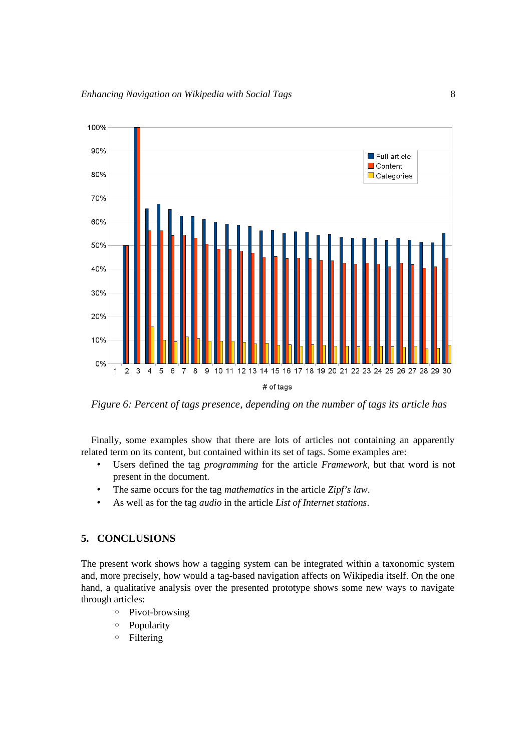

<span id="page-7-0"></span>*Figure 6: Percent of tags presence, depending on the number of tags its article has*

Finally, some examples show that there are lots of articles not containing an apparently related term on its content, but contained within its set of tags. Some examples are:

- Users defined the tag *programming* for the article *Framework*, but that word is not present in the document.
- The same occurs for the tag *mathematics* in the article *Zipf's law*.
- As well as for the tag *audio* in the article *List of Internet stations*.

# **5. CONCLUSIONS**

The present work shows how a tagging system can be integrated within a taxonomic system and, more precisely, how would a tag-based navigation affects on Wikipedia itself. On the one hand, a qualitative analysis over the presented prototype shows some new ways to navigate through articles:

- Pivot-browsing
- Popularity
- Filtering